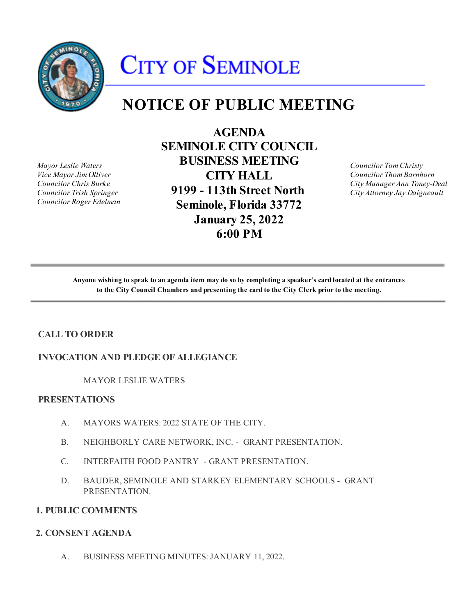

# **CITY OF SEMINOLE**

# **NOTICE OF PUBLIC MEETING**

*Mayor Leslie Waters Vice Mayor Jim Olliver Councilor Chris Burke Councilor Trish Springer Councilor Roger Edelman*

**AGENDA SEMINOLE CITY COUNCIL BUSINESS MEETING CITY HALL 9199 - 113th Street North Seminole, Florida 33772 January 25, 2022 6:00 PM**

*Councilor Tom Christy Councilor Thom Barnhorn City Manager Ann Toney-Deal City Attorney Jay Daigneault*

**Anyone wishing to speak to an agenda item may do so by completing a speaker's card located at the entrances to the City Council Chambers and presenting the card to the City Clerk prior to the meeting.**

# **CALL TO ORDER**

#### **INVOCATION AND PLEDGE OF ALLEGIANCE**

MAYOR LESLIE WATERS

#### **PRESENTATIONS**

- A. MAYORS WATERS: 2022 STATE OF THE CITY.
- B. NEIGHBORLY CARE NETWORK, INC. GRANT PRESENTATION.
- C. INTERFAITH FOOD PANTRY GRANT PRESENTATION.
- D. BAUDER, SEMINOLE AND STARKEY ELEMENTARY SCHOOLS GRANT PRESENTATION.

#### **1. PUBLIC COMMENTS**

#### **2. CONSENT AGENDA**

A. BUSINESS MEETING MINUTES: JANUARY 11, 2022.